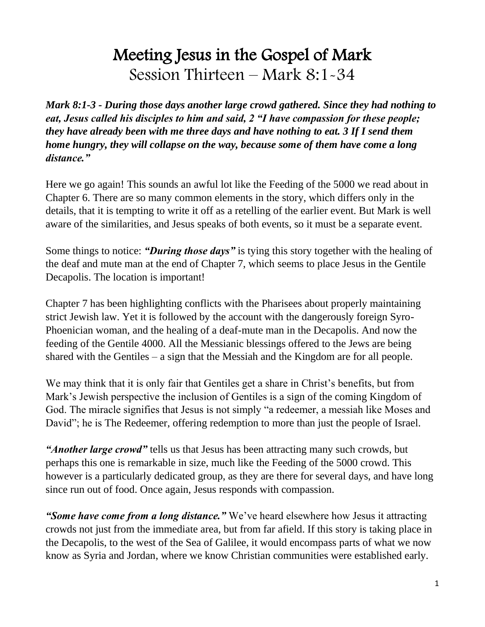# Meeting Jesus in the Gospel of Mark Session Thirteen – Mark 8:1-34

*Mark 8:1-3 - During those days another large crowd gathered. Since they had nothing to eat, Jesus called his disciples to him and said, 2 "I have compassion for these people; they have already been with me three days and have nothing to eat. 3 If I send them home hungry, they will collapse on the way, because some of them have come a long distance."*

Here we go again! This sounds an awful lot like the Feeding of the 5000 we read about in Chapter 6. There are so many common elements in the story, which differs only in the details, that it is tempting to write it off as a retelling of the earlier event. But Mark is well aware of the similarities, and Jesus speaks of both events, so it must be a separate event.

Some things to notice: *"During those days"* is tying this story together with the healing of the deaf and mute man at the end of Chapter 7, which seems to place Jesus in the Gentile Decapolis. The location is important!

Chapter 7 has been highlighting conflicts with the Pharisees about properly maintaining strict Jewish law. Yet it is followed by the account with the dangerously foreign Syro-Phoenician woman, and the healing of a deaf-mute man in the Decapolis. And now the feeding of the Gentile 4000. All the Messianic blessings offered to the Jews are being shared with the Gentiles – a sign that the Messiah and the Kingdom are for all people.

We may think that it is only fair that Gentiles get a share in Christ's benefits, but from Mark's Jewish perspective the inclusion of Gentiles is a sign of the coming Kingdom of God. The miracle signifies that Jesus is not simply "a redeemer, a messiah like Moses and David"; he is The Redeemer, offering redemption to more than just the people of Israel.

*"Another large crowd"* tells us that Jesus has been attracting many such crowds, but perhaps this one is remarkable in size, much like the Feeding of the 5000 crowd. This however is a particularly dedicated group, as they are there for several days, and have long since run out of food. Once again, Jesus responds with compassion.

*"Some have come from a long distance."* We've heard elsewhere how Jesus it attracting crowds not just from the immediate area, but from far afield. If this story is taking place in the Decapolis, to the west of the Sea of Galilee, it would encompass parts of what we now know as Syria and Jordan, where we know Christian communities were established early.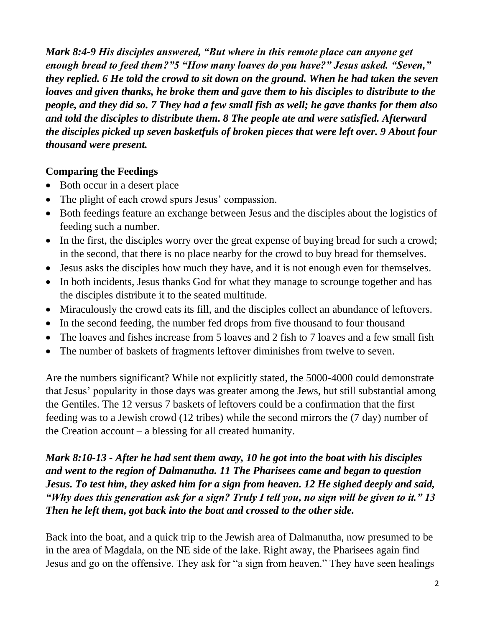*Mark 8:4-9 His disciples answered, "But where in this remote place can anyone get enough bread to feed them?"5 "How many loaves do you have?" Jesus asked. "Seven," they replied. 6 He told the crowd to sit down on the ground. When he had taken the seven loaves and given thanks, he broke them and gave them to his disciples to distribute to the people, and they did so. 7 They had a few small fish as well; he gave thanks for them also and told the disciples to distribute them. 8 The people ate and were satisfied. Afterward the disciples picked up seven basketfuls of broken pieces that were left over. 9 About four thousand were present.*

# **Comparing the Feedings**

- Both occur in a desert place
- The plight of each crowd spurs Jesus' compassion.
- Both feedings feature an exchange between Jesus and the disciples about the logistics of feeding such a number.
- In the first, the disciples worry over the great expense of buying bread for such a crowd; in the second, that there is no place nearby for the crowd to buy bread for themselves.
- Jesus asks the disciples how much they have, and it is not enough even for themselves.
- In both incidents, Jesus thanks God for what they manage to scrounge together and has the disciples distribute it to the seated multitude.
- Miraculously the crowd eats its fill, and the disciples collect an abundance of leftovers.
- In the second feeding, the number fed drops from five thousand to four thousand
- The loaves and fishes increase from 5 loaves and 2 fish to 7 loaves and a few small fish
- The number of baskets of fragments leftover diminishes from twelve to seven.

Are the numbers significant? While not explicitly stated, the 5000-4000 could demonstrate that Jesus' popularity in those days was greater among the Jews, but still substantial among the Gentiles. The 12 versus 7 baskets of leftovers could be a confirmation that the first feeding was to a Jewish crowd (12 tribes) while the second mirrors the (7 day) number of the Creation account – a blessing for all created humanity.

*Mark 8:10-13 - After he had sent them away, 10 he got into the boat with his disciples and went to the region of Dalmanutha. 11 The Pharisees came and began to question Jesus. To test him, they asked him for a sign from heaven. 12 He sighed deeply and said, "Why does this generation ask for a sign? Truly I tell you, no sign will be given to it." 13 Then he left them, got back into the boat and crossed to the other side.*

Back into the boat, and a quick trip to the Jewish area of Dalmanutha, now presumed to be in the area of Magdala, on the NE side of the lake. Right away, the Pharisees again find Jesus and go on the offensive. They ask for "a sign from heaven." They have seen healings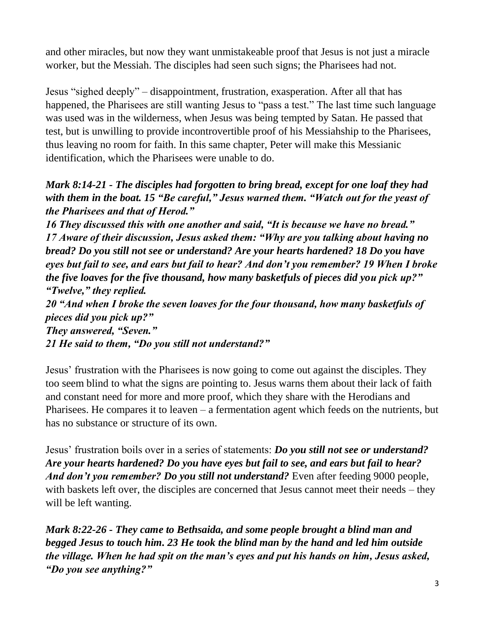and other miracles, but now they want unmistakeable proof that Jesus is not just a miracle worker, but the Messiah. The disciples had seen such signs; the Pharisees had not.

Jesus "sighed deeply" – disappointment, frustration, exasperation. After all that has happened, the Pharisees are still wanting Jesus to "pass a test." The last time such language was used was in the wilderness, when Jesus was being tempted by Satan. He passed that test, but is unwilling to provide incontrovertible proof of his Messiahship to the Pharisees, thus leaving no room for faith. In this same chapter, Peter will make this Messianic identification, which the Pharisees were unable to do.

# *Mark 8:14-21 - The disciples had forgotten to bring bread, except for one loaf they had with them in the boat. 15 "Be careful," Jesus warned them. "Watch out for the yeast of the Pharisees and that of Herod."*

*16 They discussed this with one another and said, "It is because we have no bread." 17 Aware of their discussion, Jesus asked them: "Why are you talking about having no bread? Do you still not see or understand? Are your hearts hardened? 18 Do you have eyes but fail to see, and ears but fail to hear? And don't you remember? 19 When I broke the five loaves for the five thousand, how many basketfuls of pieces did you pick up?" "Twelve," they replied.*

*20 "And when I broke the seven loaves for the four thousand, how many basketfuls of pieces did you pick up?"*

*They answered, "Seven." 21 He said to them, "Do you still not understand?"*

Jesus' frustration with the Pharisees is now going to come out against the disciples. They too seem blind to what the signs are pointing to. Jesus warns them about their lack of faith and constant need for more and more proof, which they share with the Herodians and Pharisees. He compares it to leaven – a fermentation agent which feeds on the nutrients, but has no substance or structure of its own.

Jesus' frustration boils over in a series of statements: *Do you still not see or understand? Are your hearts hardened? Do you have eyes but fail to see, and ears but fail to hear? And don't you remember? Do you still not understand?* Even after feeding 9000 people, with baskets left over, the disciples are concerned that Jesus cannot meet their needs – they will be left wanting.

*Mark 8:22-26 - They came to Bethsaida, and some people brought a blind man and begged Jesus to touch him. 23 He took the blind man by the hand and led him outside the village. When he had spit on the man's eyes and put his hands on him, Jesus asked, "Do you see anything?"*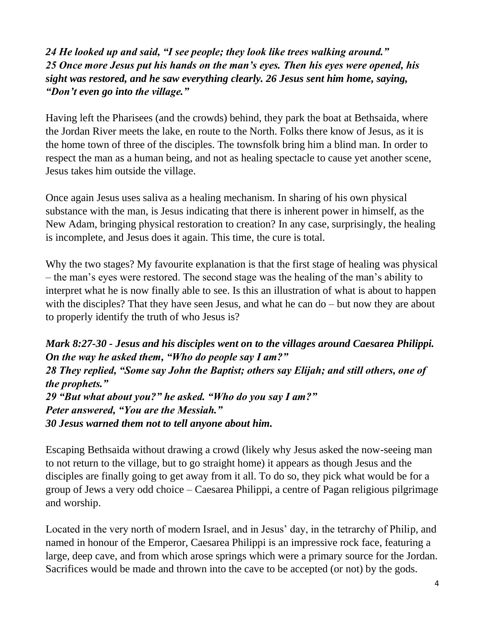# *24 He looked up and said, "I see people; they look like trees walking around." 25 Once more Jesus put his hands on the man's eyes. Then his eyes were opened, his sight was restored, and he saw everything clearly. 26 Jesus sent him home, saying, "Don't even go into the village."*

Having left the Pharisees (and the crowds) behind, they park the boat at Bethsaida, where the Jordan River meets the lake, en route to the North. Folks there know of Jesus, as it is the home town of three of the disciples. The townsfolk bring him a blind man. In order to respect the man as a human being, and not as healing spectacle to cause yet another scene, Jesus takes him outside the village.

Once again Jesus uses saliva as a healing mechanism. In sharing of his own physical substance with the man, is Jesus indicating that there is inherent power in himself, as the New Adam, bringing physical restoration to creation? In any case, surprisingly, the healing is incomplete, and Jesus does it again. This time, the cure is total.

Why the two stages? My favourite explanation is that the first stage of healing was physical – the man's eyes were restored. The second stage was the healing of the man's ability to interpret what he is now finally able to see. Is this an illustration of what is about to happen with the disciples? That they have seen Jesus, and what he can do – but now they are about to properly identify the truth of who Jesus is?

*Mark 8:27-30 - Jesus and his disciples went on to the villages around Caesarea Philippi. On the way he asked them, "Who do people say I am?" 28 They replied, "Some say John the Baptist; others say Elijah; and still others, one of the prophets." 29 "But what about you?" he asked. "Who do you say I am?" Peter answered, "You are the Messiah." 30 Jesus warned them not to tell anyone about him.*

Escaping Bethsaida without drawing a crowd (likely why Jesus asked the now-seeing man to not return to the village, but to go straight home) it appears as though Jesus and the disciples are finally going to get away from it all. To do so, they pick what would be for a group of Jews a very odd choice – Caesarea Philippi, a centre of Pagan religious pilgrimage and worship.

Located in the very north of modern Israel, and in Jesus' day, in the tetrarchy of Philip, and named in honour of the Emperor, Caesarea Philippi is an impressive rock face, featuring a large, deep cave, and from which arose springs which were a primary source for the Jordan. Sacrifices would be made and thrown into the cave to be accepted (or not) by the gods.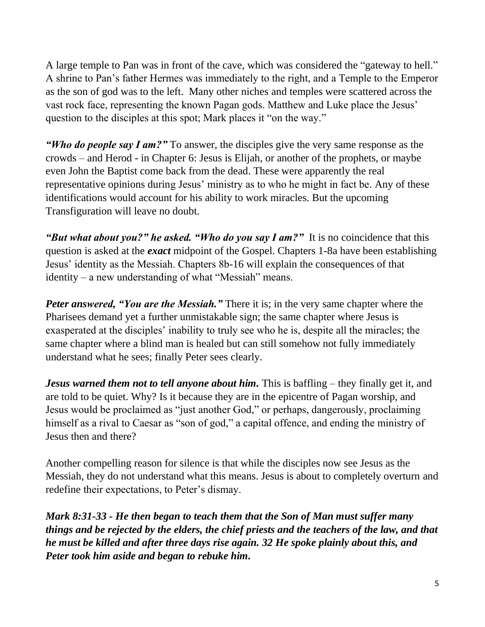A large temple to Pan was in front of the cave, which was considered the "gateway to hell." A shrine to Pan's father Hermes was immediately to the right, and a Temple to the Emperor as the son of god was to the left. Many other niches and temples were scattered across the vast rock face, representing the known Pagan gods. Matthew and Luke place the Jesus' question to the disciples at this spot; Mark places it "on the way."

*"Who do people say I am?"* To answer, the disciples give the very same response as the crowds – and Herod - in Chapter 6: Jesus is Elijah, or another of the prophets, or maybe even John the Baptist come back from the dead. These were apparently the real representative opinions during Jesus' ministry as to who he might in fact be. Any of these identifications would account for his ability to work miracles. But the upcoming Transfiguration will leave no doubt.

*"But what about you?" he asked. "Who do you say I am?"* It is no coincidence that this question is asked at the *exact* midpoint of the Gospel. Chapters 1-8a have been establishing Jesus' identity as the Messiah. Chapters 8b-16 will explain the consequences of that identity – a new understanding of what "Messiah" means.

*Peter answered, "You are the Messiah."* There it is; in the very same chapter where the Pharisees demand yet a further unmistakable sign; the same chapter where Jesus is exasperated at the disciples' inability to truly see who he is, despite all the miracles; the same chapter where a blind man is healed but can still somehow not fully immediately understand what he sees; finally Peter sees clearly.

*Jesus warned them not to tell anyone about him.* This is baffling – they finally get it, and are told to be quiet. Why? Is it because they are in the epicentre of Pagan worship, and Jesus would be proclaimed as "just another God," or perhaps, dangerously, proclaiming himself as a rival to Caesar as "son of god," a capital offence, and ending the ministry of Jesus then and there?

Another compelling reason for silence is that while the disciples now see Jesus as the Messiah, they do not understand what this means. Jesus is about to completely overturn and redefine their expectations, to Peter's dismay.

*Mark 8:31-33 - He then began to teach them that the Son of Man must suffer many things and be rejected by the elders, the chief priests and the teachers of the law, and that he must be killed and after three days rise again. 32 He spoke plainly about this, and Peter took him aside and began to rebuke him.*